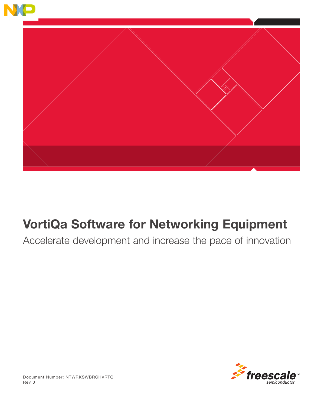

# VortiQa Software for Networking Equipment

Accelerate development and increase the pace of innovation

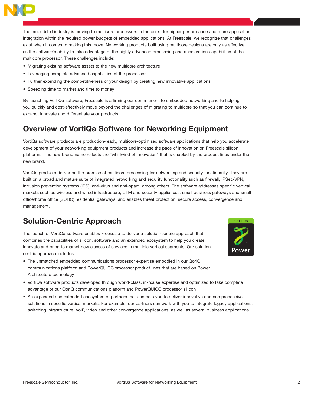

The embedded industry is moving to multicore processors in the quest for higher performance and more application integration within the required power budgets of embedded applications. At Freescale, we recognize that challenges exist when it comes to making this move. Networking products built using multicore designs are only as effective as the software's ability to take advantage of the highly advanced processing and acceleration capabilities of the multicore processor. These challenges include:

- Migrating existing software assets to the new multicore architecture
- • Leveraging complete advanced capabilities of the processor
- Further extending the competitiveness of your design by creating new innovative applications
- Speeding time to market and time to money

By launching VortiQa software, Freescale is affirming our commitment to embedded networking and to helping you quickly and cost-effectively move beyond the challenges of migrating to multicore so that you can continue to expand, innovate and differentiate your products.

# Overview of VortiQa Software for Neworking Equipment

VortiQa software products are production-ready, multicore-optimized software applications that help you accelerate development of your networking equipment products and increase the pace of innovation on Freescale silicon platforms. The new brand name reflects the "whirlwind of innovation" that is enabled by the product lines under the new brand.

VortiQa products deliver on the promise of multicore processing for networking and security functionality. They are built on a broad and mature suite of integrated networking and security functionality such as firewall, IPSec-VPN, intrusion prevention systems (IPS), anti-virus and anti-spam, among others. The software addresses specific vertical markets such as wireless and wired infrastructure, UTM and security appliances, small business gateways and small office/home office (SOHO) residential gateways, and enables threat protection, secure access, convergence and management.

# Solution-Centric Approach

The launch of VortiQa software enables Freescale to deliver a solution-centric approach that combines the capabilities of silicon, software and an extended ecosystem to help you create, innovate and bring to market new classes of services in multiple vertical segments. Our solutioncentric approach includes:



- The unmatched embedded communications processor expertise embodied in our QorIQ communications platform and PowerQUICC processor product lines that are based on Power Architecture technology
- • VortiQa software products developed through world-class, in-house expertise and optimized to take complete advantage of our QorIQ communications platform and PowerQUICC processor silicon
- • An expanded and extended ecosystem of partners that can help you to deliver innovative and comprehensive solutions in specific vertical markets. For example, our partners can work with you to integrate legacy applications, switching infrastructure, VoIP, video and other convergence applications, as well as several business applications.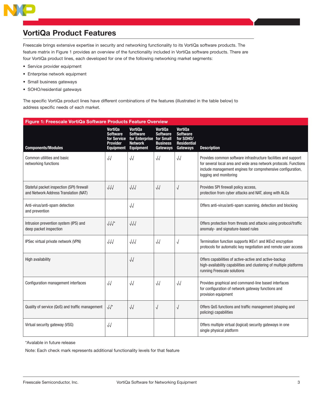# VortiQa Product Features

Freescale brings extensive expertise in security and networking functionality to its VortiQa software products. The feature matrix in Figure 1 provides an overview of the functionality included in VortiQa software products. There are four VortiQa product lines, each developed for one of the following networking market segments:

- Service provider equipment
- • Enterprise network equipment
- • Small business gateways
- SOHO/residential gateways

The specific VortiQa product lines have different combinations of the features (illustrated in the table below) to address specific needs of each market.

| Figure 1: Freescale VortiQa Software Products Feature Overview                     |                                                                                         |                                                                                              |                                                           |                                                                           |                                                                                                                                                                                                                              |
|------------------------------------------------------------------------------------|-----------------------------------------------------------------------------------------|----------------------------------------------------------------------------------------------|-----------------------------------------------------------|---------------------------------------------------------------------------|------------------------------------------------------------------------------------------------------------------------------------------------------------------------------------------------------------------------------|
| <b>Components/Modules</b>                                                          | <b>VortiQa</b><br><b>Software</b><br>for Service<br><b>Provider</b><br><b>Equipment</b> | Vorti0a<br><b>Software</b><br>for Enterprise for Small<br><b>Network</b><br><b>Equipment</b> | Vorti0a<br><b>Software</b><br><b>Business</b><br>Gateways | Vorti0a<br><b>Software</b><br>for SOHO/<br><b>Residential</b><br>Gateways | <b>Description</b>                                                                                                                                                                                                           |
| Common utilities and basic<br>networking functions                                 | $\sqrt{2}$                                                                              | $\sqrt{2}$                                                                                   | $\sqrt{2}$                                                | $\sqrt{2}$                                                                | Provides common software infrastructure facilities and support<br>for several local area and wide area network protocols. Functions<br>include management engines for comprehensive configuration,<br>logging and monitoring |
| Stateful packet inspection (SPI) firewall<br>and Network Address Translation (NAT) | $\sqrt{\sqrt{2}}$                                                                       | $\sqrt{\sqrt{2}}$                                                                            | $\sqrt{2}$                                                | √                                                                         | Provides SPI firewall policy access,<br>protection from cyber attacks and NAT, along with ALGs                                                                                                                               |
| Anti-virus/anti-spam detection<br>and prevention                                   |                                                                                         | $\sqrt{2}$                                                                                   |                                                           |                                                                           | Offers anti-virus/anti-spam scanning, detection and blocking                                                                                                                                                                 |
| Intrusion prevention system (IPS) and<br>deep packet inspection                    | $\sqrt{\sqrt{x}}$                                                                       | $\sqrt{\sqrt{2}}$                                                                            |                                                           |                                                                           | Offers protection from threats and attacks using protocol/traffic<br>anomaly- and signature-based rules                                                                                                                      |
| IPSec virtual private network (VPN)                                                | $\sqrt{\sqrt{2}}$                                                                       | $\sqrt{\sqrt{2}}$                                                                            | $\sqrt{2}$                                                | $\sqrt{}$                                                                 | Termination function supports IKEv1 and IKEv2 encryption<br>protocols for automatic key negotiation and remote user access                                                                                                   |
| High availability                                                                  |                                                                                         | $\sqrt{2}$                                                                                   |                                                           |                                                                           | Offers capabilities of active-active and active-backup<br>high-availability capabilities and clustering of multiple platforms<br>running Freescale solutions                                                                 |
| Configuration management interfaces                                                | $\sqrt{2}$                                                                              | $\sqrt{2}$                                                                                   | $\sqrt{2}$                                                | $\sqrt{2}$                                                                | Provides graphical and command-line based interfaces<br>for configuration of network gateway functions and<br>provision equipment                                                                                            |
| Quality of service (QoS) and traffic management                                    | $\sqrt{2}$                                                                              | $\sqrt{2}$                                                                                   | $\sqrt{2}$                                                | $\sqrt{}$                                                                 | Offers QoS functions and traffic management (shaping and<br>policing) capabilities                                                                                                                                           |
| Virtual security gateway (VSG)                                                     | $\sqrt{2}$                                                                              |                                                                                              |                                                           |                                                                           | Offers multiple virtual (logical) security gateways in one<br>single physical platform                                                                                                                                       |

\*Avalable in future release

Note: Each check mark represents additional functionality levels for that feature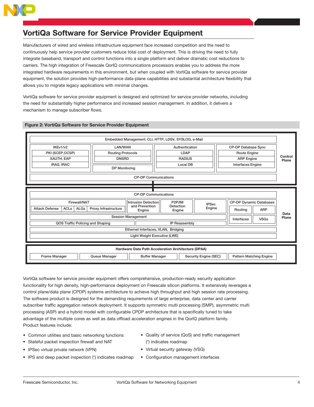

# VortiQa Software for Service Provider Equipment

Manufacturers of wired and wireless infrastructure equipment face increased competition and the need to continuously help service provider customers reduce total cost of deployment. This is driving the need to fully integrate baseband, transport and control functions into a single platform and deliver dramatic cost reductions to carriers. The high integration of Freescale QorIQ communications processors enables you to address the more integrated hardware requirements in this environment, but when coupled with VortiQa software for service provider equipment, the solution provides high-performance data-plane capabilities and substantial architecture flexibility that allows you to migrate legacy applications with minimal changes.

VortiQa software for service provider equipment is designed and optimized for service provider networks, including the need for substantially higher performance and increased session management. In addition, it delivers a mechanism to manage subscriber flows.



### Figure 2: VortiQa Software for Service Provider Equipment

VortiQa software for service provider equipment offers comprehensive, production-ready security application functionality for high density, high-performance deployment on Freescale silicon platforms. It extensively leverages a control plane/data plane (CPDP) systems architecture to achieve high throughput and high session rate processing. The software product is designed for the demanding requirements of large enterprise, data center and carrier subscriber traffic aggregation network deployment. It supports symmetric multi processing (SMP), asymmetric multi processing (ASP) and a hybrid model with configurable CPDP architecture that is specifically tuned to take advantage of the multiple cores as well as data offload acceleration engines in the QorIQ platform family. Product features include:

- Common utilities and basic networking functions
- Stateful packet inspection firewall and NAT
- IPSec virtual private network (VPN)
- IPS and deep packet inspection (\*) indicates roadmap
- Quality of service (QoS) and traffic management (\*) indicates roadmap
- Virtual security gateway (VSG)
- • Configuration management interfaces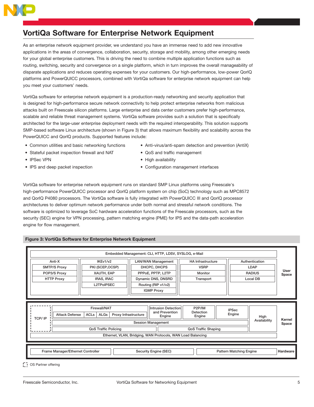

# VortiQa Software for Enterprise Network Equipment

As an enterprise network equipment provider, we understand you have an immense need to add new innovative applications in the areas of convergence, collaboration, security, storage and mobility, among other emerging needs for your global enterprise customers. This is driving the need to combine multiple application functions such as routing, switching, security and convergence on a single platform, which in turn improves the overall manageability of disparate applications and reduces operating expenses for your customers. Our high-performance, low-power QorIQ platforms and PowerQUICC processors, combined with VortiQa software for enterprise network equipment can help you meet your customers' needs.

VortiQa software for enterprise network equipment is a production-ready networking and security application that is designed for high-performance secure network connectivity to help protect enterprise networks from malicious attacks built on Freescale silicon platforms. Large enterprise and data center customers prefer high-performance, scalable and reliable threat management systems. VortiQa software provides such a solution that is specifically architected for the large-user enterprise deployment needs with the required interoperability. This solution supports SMP-based software Linux architecture (shown in Figure 3) that allows maximum flexibility and scalability across the PowerQUICC and QorIQ products. Supported features include:

- 
- Stateful packet inspection firewall and NAT QoS and traffic management
- 
- 
- Common utilities and basic networking functions Anti-virus/anti-spam detection and prevention (AntiX)
	-
- IPSec VPN ICS COPS High availability
- IPS and deep packet inspection **•** Configuration management interfaces

VortiQa software for enterprise network equipment runs on standard SMP Linux platforms using Freescale's high-performance PowerQUICC processor and QorIQ platform system on chip (SoC) technology such as MPC8572 and QorIQ P4080 processors. The VortiQa software is fully integrated with PowerQUICC III and QorIQ processor architectures to deliver optimum network performance under both normal and stressful network conditions. The software is optimized to leverage SoC hardware acceleration functions of the Freescale processors, such as the security (SEC) engine for VPN processing, pattern matching engine (PME) for IPS and the data-path acceleration engine for flow management.

## Figure 3: VortiQa Software for Enterprise Network Equipment

|               |                       |                                                                         |                      | Embedded Management: CLI, HTTP, LDSV, SYSLOG, e-Mail                                                                                        |                                                                   |                        |                      |                        |
|---------------|-----------------------|-------------------------------------------------------------------------|----------------------|---------------------------------------------------------------------------------------------------------------------------------------------|-------------------------------------------------------------------|------------------------|----------------------|------------------------|
|               | Anti-X                | IKEv1/v2                                                                |                      | <b>LAN/WAN Management</b>                                                                                                                   | <b>HA Infrastructure</b>                                          |                        | Authentication       |                        |
|               | <b>SMTP/S Proxy</b>   | PKI (SCEP, OCSP)                                                        |                      | DHCPC, DHCPS                                                                                                                                | <b>VSRP</b>                                                       |                        | LDAP                 |                        |
|               | POP3/S Proxy          | XAUTH, EAP                                                              |                      | PPPoE, PPTP, L2TP                                                                                                                           | <b>Monitor</b>                                                    |                        | <b>RADIUS</b>        | <b>User</b><br>Space   |
|               | <b>HTTP Proxy</b>     | <b>IRAS, IRAC</b>                                                       |                      | Dynamic DNS, DNSRD                                                                                                                          | Transport                                                         |                        | Local DB             |                        |
|               |                       | L2TPoIPSEC                                                              |                      | Routing (RIP v1/v2)                                                                                                                         |                                                                   |                        |                      |                        |
|               |                       |                                                                         |                      | <b>IGMP Proxy</b>                                                                                                                           |                                                                   |                        |                      |                        |
|               |                       |                                                                         |                      |                                                                                                                                             |                                                                   |                        |                      |                        |
| <b>TCP/IP</b> | <b>Attack Defense</b> | Firewall/NAT<br>ACL <sub>s</sub><br>ALGs<br><b>QoS Traffic Policing</b> | Proxy Infrastructure | Intrusion Detection<br>and Prevention<br>Engine<br><b>Session Management</b><br>Ethernet, VLAN, Bridging, WAN Protocols, WAN Load Balancing | P <sub>2</sub> P/IM<br>Detection<br>Engine<br>QoS Traffic Shaping | <b>IPSec</b><br>Engine | High<br>Availability | <b>Kernel</b><br>Space |
|               |                       |                                                                         |                      |                                                                                                                                             |                                                                   |                        |                      |                        |

**C** OS Partner offering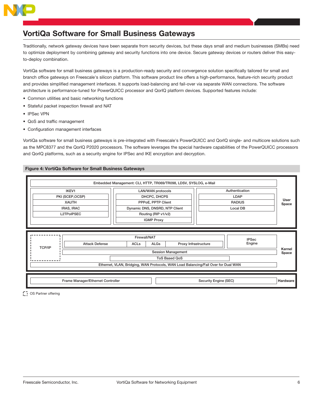

# VortiQa Software for Small Business Gateways

Traditionally, network gateway devices have been separate from security devices, but these days small and medium businesses (SMBs) need to optimize deployment by combining gateway and security functions into one device. Secure gateway devices or routers deliver this easyto-deploy combination.

VortiQa software for small business gateways is a production-ready security and convergence solution specifically tailored for small and branch office gateways on Freescale's silicon platform. This software product line offers a high-performance, feature-rich security product and provides simplified management interfaces. It supports load-balancing and fail-over via separate WAN connections. The software architecture is performance-tuned for PowerQUICC processor and QorIQ platform devices. Supported features include:

- Common utilities and basic networking functions
- Stateful packet inspection firewall and NAT
- • IPSec VPN
- • QoS and traffic management
- • Configuration management interfaces

VortiQa software for small business gateways is pre-integrated with Freescale's PowerQUICC and QorIQ single- and multicore solutions such as the MPC8377 and the QorIQ P2020 processors. The software leverages the special hardware capabilities of the PowerQUICC processors and QorIQ platforms, such as a security engine for IPSec and IKE encryption and decryption.

## Figure 4: VortiQa Software for Small Business Gateways



**C** OS Partner offering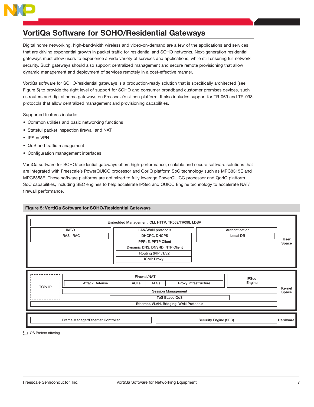

# VortiQa Software for SOHO/Residential Gateways

Digital home networking, high-bandwidth wireless and video-on-demand are a few of the applications and services that are driving exponential growth in packet traffic for residential and SOHO networks. Next-generation residential gateways must allow users to experience a wide variety of services and applications, while still ensuring full network security. Such gateways should also support centralized management and secure remote provisioning that allow dynamic management and deployment of services remotely in a cost-effective manner.

VortiQa software for SOHO/residential gateways is a production-ready solution that is specifically architected (see Figure 5) to provide the right level of support for SOHO and consumer broadband customer premises devices, such as routers and digital home gateways on Freescale's silicon platform. It also includes support for TR-069 and TR-098 protocols that allow centralized management and provisioning capabilities.

Supported features include:

- Common utilities and basic networking functions
- Stateful packet inspection firewall and NAT
- • IPSec VPN
- • QoS and traffic management
- • Configuration management interfaces

VortiQa software for SOHO/residential gateways offers high-performance, scalable and secure software solutions that are integrated with Freescale's PowerQUICC processor and QorIQ platform SoC technology such as MPC8315E and MPC8358E. These software platforms are optimized to fully leverage PowerQUICC processor and QorIQ platform SoC capabilities, including SEC engines to help accelerate IPSec and QUICC Engine technology to accelerate NAT/ firewall performance.

### Figure 5: VortiQa Software for SOHO/Residential Gateways



**D** OS Partner offering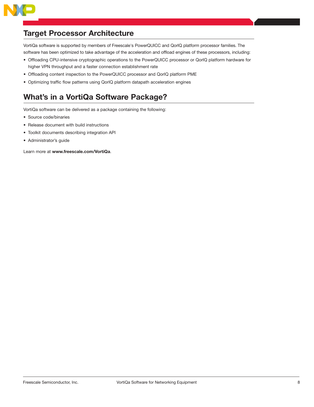

# Target Processor Architecture

VortiQa software is supported by members of Freescale's PowerQUICC and QorIQ platform processor families. The software has been optimized to take advantage of the acceleration and offload engines of these processors, including:

- • Offloading CPU-intensive cryptographic operations to the PowerQUICC processor or QorIQ platform hardware for higher VPN throughput and a faster connection establishment rate
- • Offloading content inspection to the PowerQUICC processor and QorIQ platform PME
- • Optimizing traffic flow patterns using QorIQ platform datapath acceleration engines

# What's in a VortiQa Software Package?

VortiQa software can be delivered as a package containing the following:

- • Source code/binaries
- Release document with build instructions
- • Toolkit documents describing integration API
- • Administrator's guide

Learn more at www.freescale.com/VortiQa.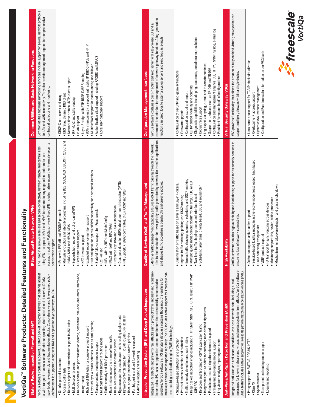# VortiQa<sup>™</sup> Software Products: Detailed Features and Functionality VortiQa™ Software Products: Detailed Features and Functionality

| VortiQa software contains a powerful stateful packet inspection firewall that defends against<br>syn-floods, re-assembly and fragmentation attacks. Comprehensive and fine-grained policy<br>a wide range of attacks, such as IP address spoofing, distributed denial of service (DDoS),<br>enforcement is supported along with NAT and application layer gateways (ALGs).<br>Stateful Packet Inspection Firewall and NAT                                                                                                                                                                                                                                                                                                                                                                                                                                                           | access. In addition, VortiQa software IPsec VPN includes native support for Freescale security<br>The IPSec VPN allows seamless and secure connectivity between remote and central sites<br>using VPN. It supports IKEv1 and IKEv2 for automatic key negotiation and remote user<br>vate Network (VPN)<br>acceleration engines.<br><b>IPSec Virtual Pri</b>                                                                                                                                                                                                                                                                                                                                                                              | Common utilities and basic networking functions include support for several network protocols<br>for LAN and WAN connectivity. They also provide management engines for comprehensive<br>Common Utilities and Basic Networking Functions<br>configuration, logging and monitoring.                                                                                                                                                                                                                                  |
|-------------------------------------------------------------------------------------------------------------------------------------------------------------------------------------------------------------------------------------------------------------------------------------------------------------------------------------------------------------------------------------------------------------------------------------------------------------------------------------------------------------------------------------------------------------------------------------------------------------------------------------------------------------------------------------------------------------------------------------------------------------------------------------------------------------------------------------------------------------------------------------|------------------------------------------------------------------------------------------------------------------------------------------------------------------------------------------------------------------------------------------------------------------------------------------------------------------------------------------------------------------------------------------------------------------------------------------------------------------------------------------------------------------------------------------------------------------------------------------------------------------------------------------------------------------------------------------------------------------------------------------|---------------------------------------------------------------------------------------------------------------------------------------------------------------------------------------------------------------------------------------------------------------------------------------------------------------------------------------------------------------------------------------------------------------------------------------------------------------------------------------------------------------------|
| · Network address and port translation (source, destination, one-one, one-many, many-one,<br>Bypass support to enable asymmetric routing deployments<br>• Keyword content filtering for FTP, SMTP, SMTP, NNTP, HTTP<br>. Network object and time windows support in ACL rules<br>· Layer 3/Layer 4 attack defenses such as anti-spoofing<br>. Rich set of NAT ALGs for complex protocol support<br>· User- or group-based firewall control policies<br>· Rate limiting support to manage/limit traffic<br>. Port triggering and port forwarding support<br>· Multicast firewall support in routing mode<br>· Resource reservation for assured service<br>· Transparent and routing modes support<br>. Traffic anomaly and DDoS protection<br>· Extensive logging and reporting<br>· Stateful packet inspection<br>· Multiple security zones<br>• Access control lists<br>many-many) | . Multiple encryption and integrity algorithms, including DES, 3DES, AES (CBC, CTR, XCBC) and<br>optimized VPN connectivity for distributed locations<br>· Dead peer detection (DPD), dead peer tunnel detection (DPTD)<br>. PKI Support: X.509v3 certificates, CRLs, OCSP and SCEP<br>· Preshared key, RSA and DSA Authentication<br>Supports both route- and policy-based VPN<br>· Stateful failover support for IPsec tunnels<br>• IPsec with ESP, AH and IPCOMP protocols<br>· Extended sequence number support<br>. IKEv1 with X-AUTH and ModeConfig<br><b>IRAC/IRAS</b><br>HMAC-SHA1 and HMAC-MD5<br>· Persistent tunnel support<br>· NAT traversal support<br>• IKEv2 with EAP and<br>. Hub and spoke for<br>$\bullet$ L2TPoIPsec | . WAN interconnectivity support with static IP, DHCP, PPPoE and PPTP<br>. Authentication client support including RADIUS and LDAP/S<br>. Multiple WAN support for load balancing and fallover<br>· Layer 2 bridge with STP, RTSP, IGMP Snooping<br>· Network time protocol (NTP) client support<br>· DNS relay, dynamic DNS client<br>• DHCP-Client, server and relay<br>• Local user database support<br>· RIP v1/v2 and static routing<br>• VLAN support                                                          |
| Intrusion Prevention System (IPS) and Deep Packet Inspection                                                                                                                                                                                                                                                                                                                                                                                                                                                                                                                                                                                                                                                                                                                                                                                                                        | Quality of Service (QoS) and Traffic Management                                                                                                                                                                                                                                                                                                                                                                                                                                                                                                                                                                                                                                                                                          | <b>Configuration Management Interfaces</b>                                                                                                                                                                                                                                                                                                                                                                                                                                                                          |
| Integrated IPS detects and prevents real attacks using protocol/traffic anomaly and signature-<br>malicious attacks and is updated regularly. The IPS includes native support for Freescale pat-<br>positives. VortiQa software's IPS signature database contains thousands of signatures for<br>based rules. IPS uses an application-aware architecture that substantially reduces false<br>tern matching acceleration engine (PME) technology.                                                                                                                                                                                                                                                                                                                                                                                                                                    | It limits the bandwidth for lower-priority traffic generated by network file transfers applications<br>Extensive traffic management capability ensures QoS of traffic passing through the network.<br>and shapes traffic according to bandwidth and queuing policies.                                                                                                                                                                                                                                                                                                                                                                                                                                                                    | command-line interface for management of network gateway functions. A log-generation<br>VortiQa software contains a built-in optimized Web server with easy-to-use GUI and a<br>function can direct logs to external syslog servers and send logs as e-mails.                                                                                                                                                                                                                                                       |
| · Deep packet inspection engines including HTTP, SMTP, SNMP, SIP, POP3, Telnet, FTP, IMAP,<br>· Integrated signature editor for authoring user-defined signatures<br>· Detection and throttling of P2P/IM application traffic<br>· Periodic and manual signature download support<br>· Protocol anomaly detection and protection<br>· Traffic anomaly detection and rate limiting<br>Signature-based detection and protection<br>· Log viewer: analysis, reporting and alerts<br>· Transparent and routing modes support<br><b>SUN RPC</b>                                                                                                                                                                                                                                                                                                                                          | · Egress traffic shaping: queueing, scheduling and DSCP marking<br>· Multiple queue management algorithms: tail drop, RED, WRED<br>· Classification of traffic based on Layer 3 and Layer 4 criteria<br>· Scheduling algorithms: priority based, CBQ and round robin<br>· Two-level traffic shaping: queue and interface based<br>· Ingress traffic metering, policing and DSCP marking                                                                                                                                                                                                                                                                                                                                                  | · Configuration and management engines: CLI, HTTP/S, SNMP, Syslog, e-mail log<br>· Diagnostic capabilities include ping, traceroute, domain name, resolution<br>· Log export via syslog, e-mail and to remote database<br>• Support for protocols such as TR-069 and TR-098<br>• Configuration of security and gateway functions<br>· Persistent "save and load" of configurations<br>• CLI for added flexibility and scripting<br>• Configuration export and import<br>· Debug trace support<br>· Firmware upgrade |
| Anti-Virus/Anti-Spam Detection and Prevention (AntiX)                                                                                                                                                                                                                                                                                                                                                                                                                                                                                                                                                                                                                                                                                                                                                                                                                               | <b>High Availability</b>                                                                                                                                                                                                                                                                                                                                                                                                                                                                                                                                                                                                                                                                                                                 | <b>Virtual Security Gateway (VSG)</b>                                                                                                                                                                                                                                                                                                                                                                                                                                                                               |
| messages for known malware and viruses and protect systems from attacks. VortiQa software<br>AntiX feature includes native support for Freescale pattern matching acceleration engine (PME).<br>Integrated anti-virus and anti-spam capabilities can scan network data, including e-mail                                                                                                                                                                                                                                                                                                                                                                                                                                                                                                                                                                                            | VortiQa software provides high availability and load sharing support for its security services to<br>ensure no loss of network connectivity.                                                                                                                                                                                                                                                                                                                                                                                                                                                                                                                                                                                             | VSG provides functionality that allows the creation of fully enabled virtual gateways that can<br>support multiple gateways within a single device.                                                                                                                                                                                                                                                                                                                                                                 |
| · Proxy support for SMTP/S, POP3/S, HTTP<br>. Transparent and routing modes support<br>· Logging and reporting<br>· Spam assassin<br>$\bullet$ Clam AV                                                                                                                                                                                                                                                                                                                                                                                                                                                                                                                                                                                                                                                                                                                              | I balancing in active-active mode: least loaded, hash based<br>. Mechanisms for takeover/relinquish and graceful shutdown<br>· Monitoring support: link, device, critical processes<br>• HA transport for synchronizing across devices<br>· Active-backup and active-active support<br>· Load balancing exception list<br>· VSRP protocol support<br>· Session-based load                                                                                                                                                                                                                                                                                                                                                                | · Configuration and Run time state information on per-VSG basis<br>· Linux name space support for TCP/IP stack virtualization<br>Dynamic VSG instance management<br>• Overlapping IP address support                                                                                                                                                                                                                                                                                                                |
|                                                                                                                                                                                                                                                                                                                                                                                                                                                                                                                                                                                                                                                                                                                                                                                                                                                                                     |                                                                                                                                                                                                                                                                                                                                                                                                                                                                                                                                                                                                                                                                                                                                          | <b>A</b> treescale<br>VortiQa                                                                                                                                                                                                                                                                                                                                                                                                                                                                                       |